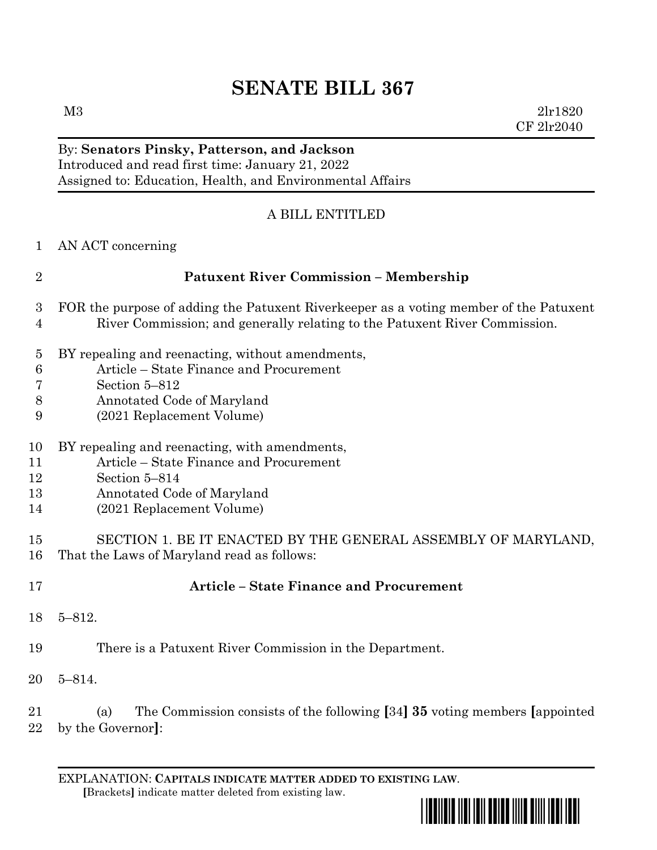# **SENATE BILL 367**

 $M3$  2lr1820 CF 2lr2040

## By: **Senators Pinsky, Patterson, and Jackson**

Introduced and read first time: January 21, 2022 Assigned to: Education, Health, and Environmental Affairs

### A BILL ENTITLED

AN ACT concerning

| <b>Patuxent River Commission - Membership</b>                                                                                                                         |
|-----------------------------------------------------------------------------------------------------------------------------------------------------------------------|
| 3 FOR the purpose of adding the Patuxent Riverkeeper as a voting member of the Patuxent<br>River Commission; and generally relating to the Patuxent River Commission. |

- BY repealing and reenacting, without amendments,
- Article State Finance and Procurement
- Section 5–812
- Annotated Code of Maryland
- (2021 Replacement Volume)
- BY repealing and reenacting, with amendments,
- Article State Finance and Procurement
- Section 5–814
- Annotated Code of Maryland
- (2021 Replacement Volume)

- **Article – State Finance and Procurement**
- 5–812.
- There is a Patuxent River Commission in the Department.
- 5–814.

 (a) The Commission consists of the following **[**34**] 35** voting members **[**appointed by the Governor**]**:

EXPLANATION: **CAPITALS INDICATE MATTER ADDED TO EXISTING LAW**.  **[**Brackets**]** indicate matter deleted from existing law.



 SECTION 1. BE IT ENACTED BY THE GENERAL ASSEMBLY OF MARYLAND, That the Laws of Maryland read as follows: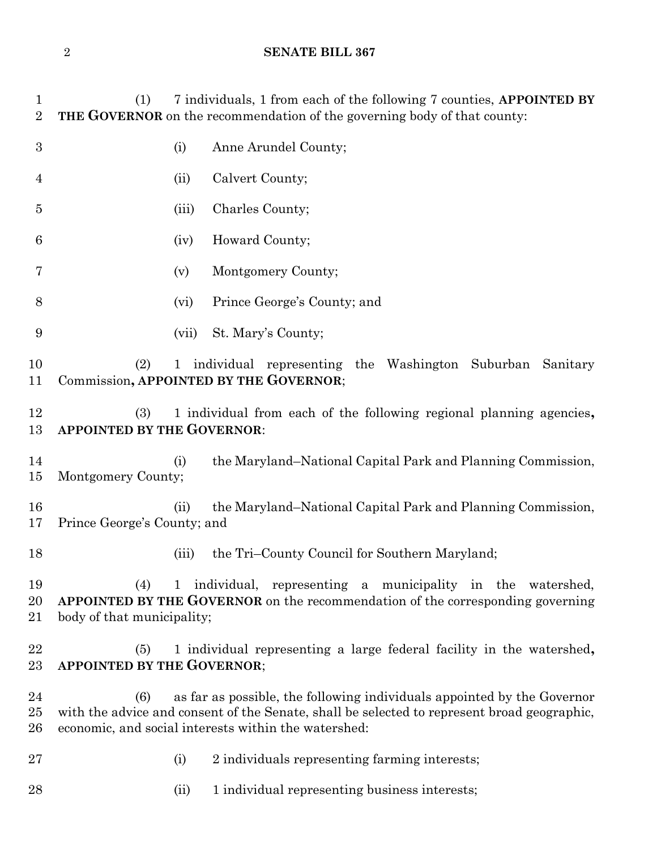### **SENATE BILL 367**

| 1<br>$\overline{2}$ | (1)                                                                                                             |              | 7 individuals, 1 from each of the following 7 counties, APPOINTED BY<br>THE GOVERNOR on the recommendation of the governing body of that county:                                                                               |  |  |  |
|---------------------|-----------------------------------------------------------------------------------------------------------------|--------------|--------------------------------------------------------------------------------------------------------------------------------------------------------------------------------------------------------------------------------|--|--|--|
| $\boldsymbol{3}$    |                                                                                                                 | (i)          | Anne Arundel County;                                                                                                                                                                                                           |  |  |  |
| $\overline{4}$      |                                                                                                                 | (ii)         | Calvert County;                                                                                                                                                                                                                |  |  |  |
| 5                   |                                                                                                                 | (iii)        | Charles County;                                                                                                                                                                                                                |  |  |  |
| 6                   |                                                                                                                 | (iv)         | Howard County;                                                                                                                                                                                                                 |  |  |  |
| 7                   |                                                                                                                 | (v)          | Montgomery County;                                                                                                                                                                                                             |  |  |  |
| 8                   |                                                                                                                 | (vi)         | Prince George's County; and                                                                                                                                                                                                    |  |  |  |
| 9                   |                                                                                                                 | (vii)        | St. Mary's County;                                                                                                                                                                                                             |  |  |  |
| 10<br>11            | (2)<br>1 individual representing the Washington Suburban Sanitary<br>Commission, APPOINTED BY THE GOVERNOR;     |              |                                                                                                                                                                                                                                |  |  |  |
| 12<br>13            | (3)<br>1 individual from each of the following regional planning agencies,<br><b>APPOINTED BY THE GOVERNOR:</b> |              |                                                                                                                                                                                                                                |  |  |  |
| 14<br>15            | Montgomery County;                                                                                              | (i)          | the Maryland–National Capital Park and Planning Commission,                                                                                                                                                                    |  |  |  |
| 16<br>17            | Prince George's County; and                                                                                     | (ii)         | the Maryland–National Capital Park and Planning Commission,                                                                                                                                                                    |  |  |  |
| 18                  |                                                                                                                 | (iii)        | the Tri-County Council for Southern Maryland;                                                                                                                                                                                  |  |  |  |
| 19<br>20<br>21      | (4)<br>body of that municipality;                                                                               | $\mathbf{1}$ | individual, representing a municipality in the watershed,<br>APPOINTED BY THE GOVERNOR on the recommendation of the corresponding governing                                                                                    |  |  |  |
| 22<br>23            | (5)<br><b>APPOINTED BY THE GOVERNOR;</b>                                                                        |              | 1 individual representing a large federal facility in the watershed,                                                                                                                                                           |  |  |  |
| 24<br>25<br>26      | (6)                                                                                                             |              | as far as possible, the following individuals appointed by the Governor<br>with the advice and consent of the Senate, shall be selected to represent broad geographic,<br>economic, and social interests within the watershed: |  |  |  |
| 27                  |                                                                                                                 | (i)          | 2 individuals representing farming interests;                                                                                                                                                                                  |  |  |  |
| 28                  |                                                                                                                 | (ii)         | 1 individual representing business interests;                                                                                                                                                                                  |  |  |  |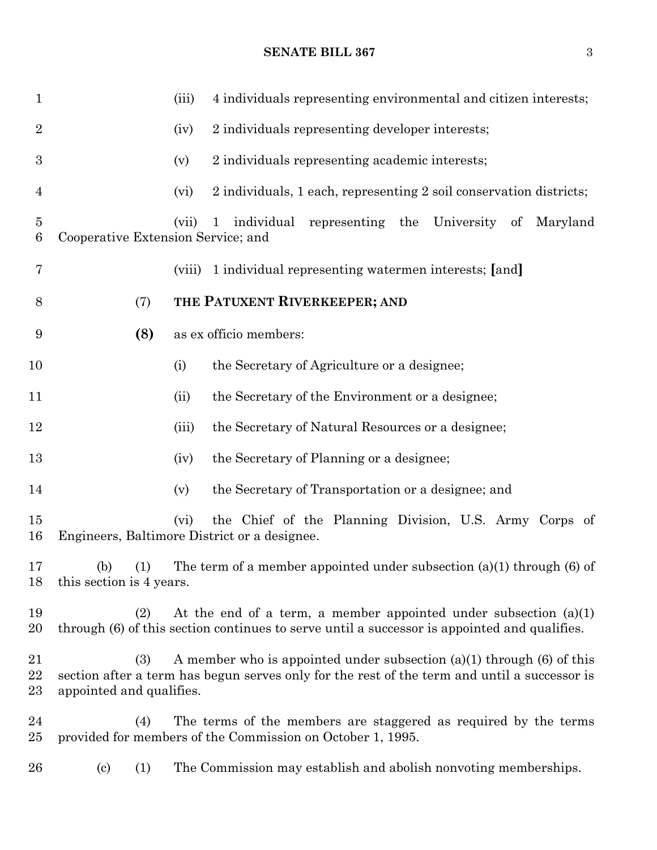#### **SENATE BILL 367** 3

| $\mathbf{1}$        |                                                                                                                                                                                                              |     | (iii)  | 4 individuals representing environmental and citizen interests;                                                               |  |  |
|---------------------|--------------------------------------------------------------------------------------------------------------------------------------------------------------------------------------------------------------|-----|--------|-------------------------------------------------------------------------------------------------------------------------------|--|--|
| $\overline{2}$      |                                                                                                                                                                                                              |     | (iv)   | 2 individuals representing developer interests;                                                                               |  |  |
| $\boldsymbol{3}$    |                                                                                                                                                                                                              |     | (v)    | 2 individuals representing academic interests;                                                                                |  |  |
| 4                   |                                                                                                                                                                                                              |     | (vi)   | 2 individuals, 1 each, representing 2 soil conservation districts;                                                            |  |  |
| $\overline{5}$<br>6 | Cooperative Extension Service; and                                                                                                                                                                           |     | (vii)  | individual representing the University of<br>Maryland<br>$\mathbf{1}$                                                         |  |  |
| 7                   |                                                                                                                                                                                                              |     | (viii) | 1 individual representing watermen interests; [and]                                                                           |  |  |
| 8                   |                                                                                                                                                                                                              | (7) |        | THE PATUXENT RIVERKEEPER; AND                                                                                                 |  |  |
| 9                   |                                                                                                                                                                                                              | (8) |        | as ex officio members:                                                                                                        |  |  |
| 10                  |                                                                                                                                                                                                              |     | (i)    | the Secretary of Agriculture or a designee;                                                                                   |  |  |
| 11                  |                                                                                                                                                                                                              |     | (ii)   | the Secretary of the Environment or a designee;                                                                               |  |  |
| 12                  |                                                                                                                                                                                                              |     | (iii)  | the Secretary of Natural Resources or a designee;                                                                             |  |  |
| 13                  |                                                                                                                                                                                                              |     | (iv)   | the Secretary of Planning or a designee;                                                                                      |  |  |
| 14                  |                                                                                                                                                                                                              |     | (v)    | the Secretary of Transportation or a designee; and                                                                            |  |  |
| 15<br>16            |                                                                                                                                                                                                              |     | (vi)   | the Chief of the Planning Division, U.S. Army Corps of<br>Engineers, Baltimore District or a designee.                        |  |  |
| 17<br>18            | The term of a member appointed under subsection $(a)(1)$ through $(6)$ of<br>(b) $(1)$<br>this section is 4 years.                                                                                           |     |        |                                                                                                                               |  |  |
| 19<br>$20\,$        | At the end of a term, a member appointed under subsection $(a)(1)$<br>(2)<br>through (6) of this section continues to serve until a successor is appointed and qualifies.                                    |     |        |                                                                                                                               |  |  |
| 21<br>22<br>23      | A member who is appointed under subsection $(a)(1)$ through $(6)$ of this<br>(3)<br>section after a term has begun serves only for the rest of the term and until a successor is<br>appointed and qualifies. |     |        |                                                                                                                               |  |  |
| 24<br>$25\,$        |                                                                                                                                                                                                              | (4) |        | The terms of the members are staggered as required by the terms<br>provided for members of the Commission on October 1, 1995. |  |  |
| $26\,$              | $\left( \mathrm{c}\right)$                                                                                                                                                                                   | (1) |        | The Commission may establish and abolish nonvoting memberships.                                                               |  |  |